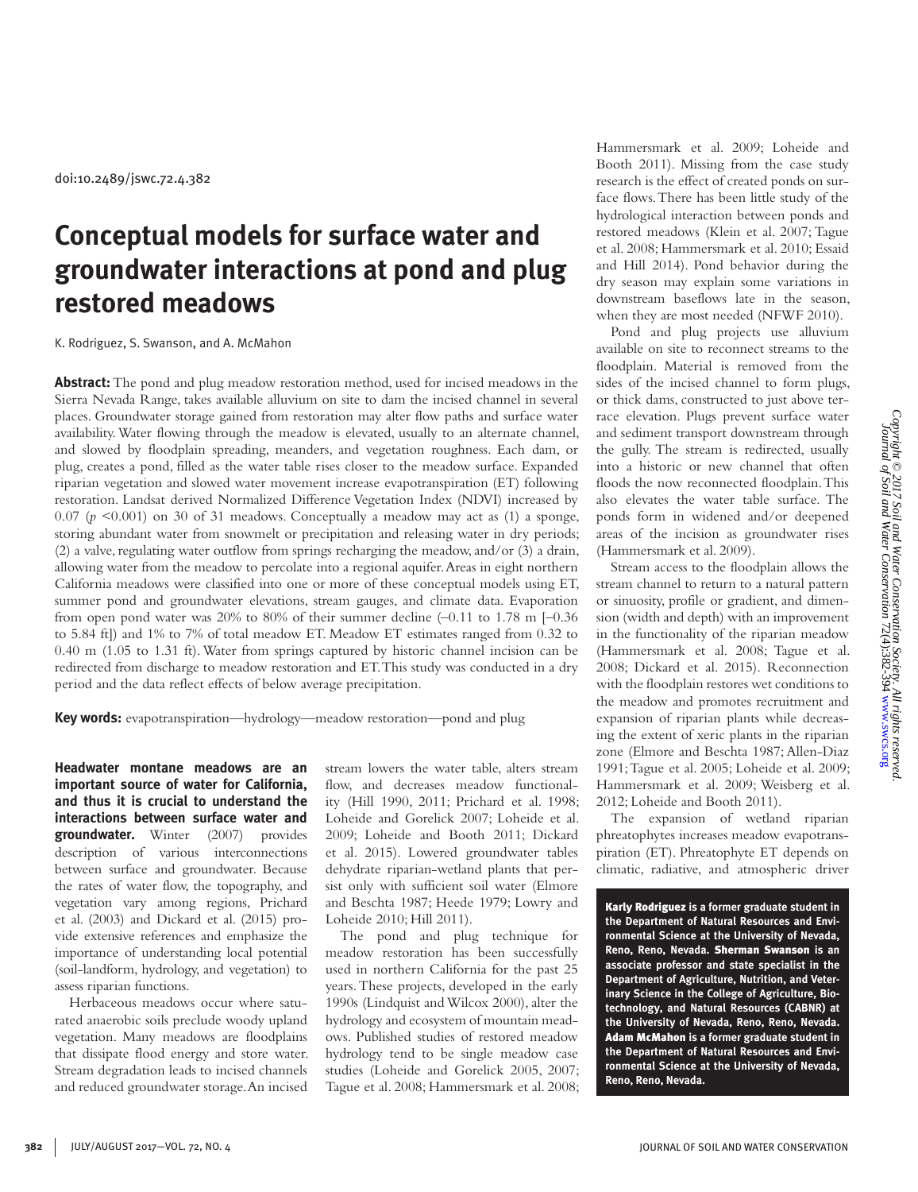doi:10.2489/jswc.72.4.382

# **Conceptual models for surface water and groundwater interactions at pond and plug restored meadows**

K. Rodriguez, S. Swanson, and A. McMahon

**Abstract:** The pond and plug meadow restoration method, used for incised meadows in the Sierra Nevada Range, takes available alluvium on site to dam the incised channel in several places. Groundwater storage gained from restoration may alter flow paths and surface water availability. Water flowing through the meadow is elevated, usually to an alternate channel, and slowed by floodplain spreading, meanders, and vegetation roughness. Each dam, or plug, creates a pond, filled as the water table rises closer to the meadow surface. Expanded riparian vegetation and slowed water movement increase evapotranspiration (ET) following restoration. Landsat derived Normalized Difference Vegetation Index (NDVI) increased by  $0.07$  ( $p \le 0.001$ ) on 30 of 31 meadows. Conceptually a meadow may act as (1) a sponge, storing abundant water from snowmelt or precipitation and releasing water in dry periods; (2) a valve, regulating water outflow from springs recharging the meadow, and/or (3) a drain, allowing water from the meadow to percolate into a regional aquifer. Areas in eight northern California meadows were classified into one or more of these conceptual models using ET, summer pond and groundwater elevations, stream gauges, and climate data. Evaporation from open pond water was 20% to 80% of their summer decline (–0.11 to 1.78 m [–0.36 to 5.84 ft]) and 1% to 7% of total meadow ET. Meadow ET estimates ranged from 0.32 to 0.40 m (1.05 to 1.31 ft). Water from springs captured by historic channel incision can be redirected from discharge to meadow restoration and ET. This study was conducted in a dry period and the data reflect effects of below average precipitation.

**Key words:** evapotranspiration—hydrology—meadow restoration—pond and plug

**Headwater montane meadows are an important source of water for California, and thus it is crucial to understand the interactions between surface water and groundwater.** Winter (2007) provides description of various interconnections between surface and groundwater. Because the rates of water flow, the topography, and vegetation vary among regions, Prichard et al. (2003) and Dickard et al. (2015) provide extensive references and emphasize the importance of understanding local potential (soil-landform, hydrology, and vegetation) to assess riparian functions.

Herbaceous meadows occur where saturated anaerobic soils preclude woody upland vegetation. Many meadows are floodplains that dissipate flood energy and store water. Stream degradation leads to incised channels and reduced groundwater storage. An incised stream lowers the water table, alters stream flow, and decreases meadow functionality (Hill 1990, 2011; Prichard et al. 1998; Loheide and Gorelick 2007; Loheide et al. 2009; Loheide and Booth 2011; Dickard et al. 2015). Lowered groundwater tables dehydrate riparian-wetland plants that persist only with sufficient soil water (Elmore and Beschta 1987; Heede 1979; Lowry and Loheide 2010; Hill 2011).

The pond and plug technique for meadow restoration has been successfully used in northern California for the past 25 years. These projects, developed in the early 1990s (Lindquist and Wilcox 2000), alter the hydrology and ecosystem of mountain meadows. Published studies of restored meadow hydrology tend to be single meadow case studies (Loheide and Gorelick 2005, 2007; Tague et al. 2008; Hammersmark et al. 2008; Hammersmark et al. 2009; Loheide and Booth 2011). Missing from the case study research is the effect of created ponds on surface flows. There has been little study of the hydrological interaction between ponds and restored meadows (Klein et al. 2007; Tague et al. 2008; Hammersmark et al. 2010; Essaid and Hill 2014). Pond behavior during the dry season may explain some variations in downstream baseflows late in the season, when they are most needed (NFWF 2010).

Pond and plug projects use alluvium available on site to reconnect streams to the floodplain. Material is removed from the sides of the incised channel to form plugs, or thick dams, constructed to just above terrace elevation. Plugs prevent surface water and sediment transport downstream through the gully. The stream is redirected, usually into a historic or new channel that often floods the now reconnected floodplain. This also elevates the water table surface. The ponds form in widened and/or deepened areas of the incision as groundwater rises (Hammersmark et al. 2009).

Stream access to the floodplain allows the stream channel to return to a natural pattern or sinuosity, profile or gradient, and dimension (width and depth) with an improvement in the functionality of the riparian meadow (Hammersmark et al. 2008; Tague et al. 2008; Dickard et al. 2015). Reconnection with the floodplain restores wet conditions to the meadow and promotes recruitment and expansion of riparian plants while decreasing the extent of xeric plants in the riparian zone (Elmore and Beschta 1987; Allen-Diaz 1991; Tague et al. 2005; Loheide et al. 2009; Hammersmark et al. 2009; Weisberg et al. 2012; Loheide and Booth 2011).

The expansion of wetland riparian phreatophytes increases meadow evapotranspiration (ET). Phreatophyte ET depends on climatic, radiative, and atmospheric driver

Karly Rodriguez **is a former graduate student in the Department of Natural Resources and Environmental Science at the University of Nevada, Reno, Reno, Nevada.** Sherman Swanson **is an associate professor and state specialist in the Department of Agriculture, Nutrition, and Veterinary Science in the College of Agriculture, Biotechnology, and Natural Resources (CABNR) at the University of Nevada, Reno, Reno, Nevada.**  Adam McMahon **is a former graduate student in the Department of Natural Resources and Environmental Science at the University of Nevada, Reno, Reno, Nevada.**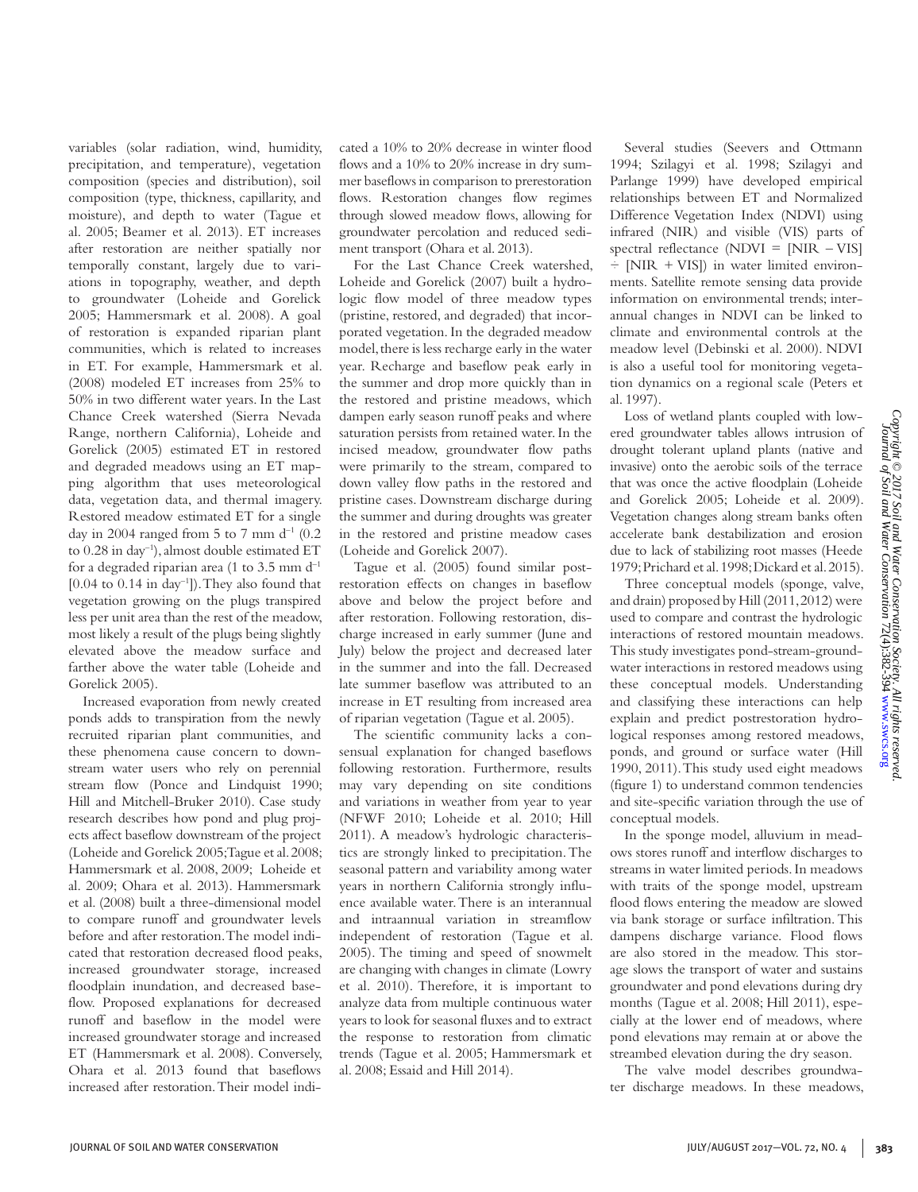variables (solar radiation, wind, humidity, precipitation, and temperature), vegetation composition (species and distribution), soil composition (type, thickness, capillarity, and moisture), and depth to water (Tague et al. 2005; Beamer et al. 2013). ET increases after restoration are neither spatially nor temporally constant, largely due to variations in topography, weather, and depth to groundwater (Loheide and Gorelick 2005; Hammersmark et al. 2008). A goal of restoration is expanded riparian plant communities, which is related to increases in ET. For example, Hammersmark et al. (2008) modeled ET increases from 25% to 50% in two different water years. In the Last Chance Creek watershed (Sierra Nevada Range, northern California), Loheide and Gorelick (2005) estimated ET in restored and degraded meadows using an ET mapping algorithm that uses meteorological data, vegetation data, and thermal imagery. Restored meadow estimated ET for a single day in 2004 ranged from 5 to 7 mm  $d^{-1}$  (0.2) to 0.28 in day<sup>-1</sup>), almost double estimated ET for a degraded riparian area (1 to 3.5 mm  $d^{-1}$  $[0.04 \text{ to } 0.14 \text{ in day}^{-1}]$ . They also found that vegetation growing on the plugs transpired less per unit area than the rest of the meadow, most likely a result of the plugs being slightly elevated above the meadow surface and farther above the water table (Loheide and Gorelick 2005).

Increased evaporation from newly created ponds adds to transpiration from the newly recruited riparian plant communities, and these phenomena cause concern to downstream water users who rely on perennial stream flow (Ponce and Lindquist 1990; Hill and Mitchell-Bruker 2010). Case study research describes how pond and plug projects affect baseflow downstream of the project (Loheide and Gorelick 2005; Tague et al. 2008; Hammersmark et al. 2008, 2009; Loheide et al. 2009; Ohara et al. 2013). Hammersmark et al. (2008) built a three-dimensional model to compare runoff and groundwater levels before and after restoration. The model indicated that restoration decreased flood peaks, increased groundwater storage, increased floodplain inundation, and decreased baseflow. Proposed explanations for decreased runoff and baseflow in the model were increased groundwater storage and increased ET (Hammersmark et al. 2008). Conversely, Ohara et al. 2013 found that baseflows increased after restoration. Their model indicated a 10% to 20% decrease in winter flood flows and a 10% to 20% increase in dry summer baseflows in comparison to prerestoration flows. Restoration changes flow regimes through slowed meadow flows, allowing for groundwater percolation and reduced sediment transport (Ohara et al. 2013).

For the Last Chance Creek watershed, Loheide and Gorelick (2007) built a hydrologic flow model of three meadow types (pristine, restored, and degraded) that incorporated vegetation. In the degraded meadow model, there is less recharge early in the water year. Recharge and baseflow peak early in the summer and drop more quickly than in the restored and pristine meadows, which dampen early season runoff peaks and where saturation persists from retained water. In the incised meadow, groundwater flow paths were primarily to the stream, compared to down valley flow paths in the restored and pristine cases. Downstream discharge during the summer and during droughts was greater in the restored and pristine meadow cases (Loheide and Gorelick 2007).

Tague et al. (2005) found similar postrestoration effects on changes in baseflow above and below the project before and after restoration. Following restoration, discharge increased in early summer (June and July) below the project and decreased later in the summer and into the fall. Decreased late summer baseflow was attributed to an increase in ET resulting from increased area of riparian vegetation (Tague et al. 2005).

The scientific community lacks a consensual explanation for changed baseflows following restoration. Furthermore, results may vary depending on site conditions and variations in weather from year to year (NFWF 2010; Loheide et al. 2010; Hill 2011). A meadow's hydrologic characteristics are strongly linked to precipitation. The seasonal pattern and variability among water years in northern California strongly influence available water. There is an interannual and intraannual variation in streamflow independent of restoration (Tague et al. 2005). The timing and speed of snowmelt are changing with changes in climate (Lowry et al. 2010). Therefore, it is important to analyze data from multiple continuous water years to look for seasonal fluxes and to extract the response to restoration from climatic trends (Tague et al. 2005; Hammersmark et al. 2008; Essaid and Hill 2014).

Several studies (Seevers and Ottmann 1994; Szilagyi et al. 1998; Szilagyi and Parlange 1999) have developed empirical relationships between ET and Normalized Difference Vegetation Index (NDVI) using infrared (NIR) and visible (VIS) parts of spectral reflectance  $(NDVI = [NIR - VIS]$  $\div$  [NIR + VIS]) in water limited environments. Satellite remote sensing data provide information on environmental trends; interannual changes in NDVI can be linked to climate and environmental controls at the meadow level (Debinski et al. 2000). NDVI is also a useful tool for monitoring vegetation dynamics on a regional scale (Peters et al. 1997).

Loss of wetland plants coupled with lowered groundwater tables allows intrusion of drought tolerant upland plants (native and invasive) onto the aerobic soils of the terrace that was once the active floodplain (Loheide and Gorelick 2005; Loheide et al. 2009). Vegetation changes along stream banks often accelerate bank destabilization and erosion due to lack of stabilizing root masses (Heede 1979; Prichard et al. 1998; Dickard et al. 2015).

Three conceptual models (sponge, valve, and drain) proposed by Hill (2011, 2012) were used to compare and contrast the hydrologic interactions of restored mountain meadows. This study investigates pond-stream-groundwater interactions in restored meadows using these conceptual models. Understanding and classifying these interactions can help explain and predict postrestoration hydrological responses among restored meadows, ponds, and ground or surface water (Hill 1990, 2011). This study used eight meadows (figure 1) to understand common tendencies and site-specific variation through the use of conceptual models.

In the sponge model, alluvium in meadows stores runoff and interflow discharges to streams in water limited periods. In meadows with traits of the sponge model, upstream flood flows entering the meadow are slowed via bank storage or surface infiltration. This dampens discharge variance. Flood flows are also stored in the meadow. This storage slows the transport of water and sustains groundwater and pond elevations during dry months (Tague et al. 2008; Hill 2011), especially at the lower end of meadows, where pond elevations may remain at or above the streambed elevation during the dry season.

The valve model describes groundwater discharge meadows. In these meadows,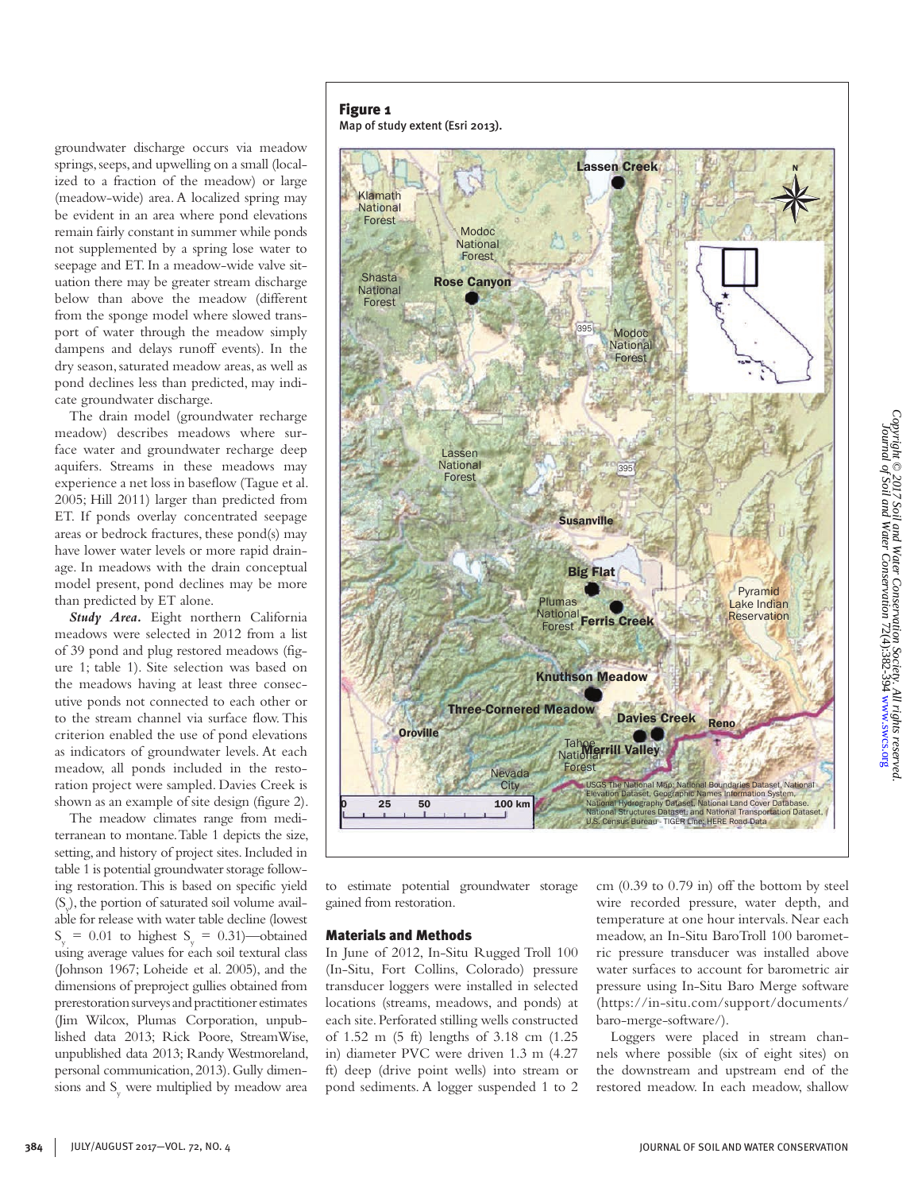groundwater discharge occurs via meadow springs, seeps, and upwelling on a small (localized to a fraction of the meadow) or large (meadow-wide) area. A localized spring may be evident in an area where pond elevations remain fairly constant in summer while ponds not supplemented by a spring lose water to seepage and ET. In a meadow-wide valve situation there may be greater stream discharge below than above the meadow (different from the sponge model where slowed transport of water through the meadow simply dampens and delays runoff events). In the dry season, saturated meadow areas, as well as pond declines less than predicted, may indicate groundwater discharge.

The drain model (groundwater recharge meadow) describes meadows where surface water and groundwater recharge deep aquifers. Streams in these meadows may experience a net loss in baseflow (Tague et al. 2005; Hill 2011) larger than predicted from ET. If ponds overlay concentrated seepage areas or bedrock fractures, these pond(s) may have lower water levels or more rapid drainage. In meadows with the drain conceptual model present, pond declines may be more than predicted by ET alone.

*Study Area.* Eight northern California meadows were selected in 2012 from a list of 39 pond and plug restored meadows (figure 1; table 1). Site selection was based on the meadows having at least three consecutive ponds not connected to each other or to the stream channel via surface flow. This criterion enabled the use of pond elevations as indicators of groundwater levels. At each meadow, all ponds included in the restoration project were sampled. Davies Creek is shown as an example of site design (figure 2).

The meadow climates range from mediterranean to montane. Table 1 depicts the size, setting, and history of project sites. Included in table 1 is potential groundwater storage following restoration. This is based on specific yield (Sy ), the portion of saturated soil volume available for release with water table decline (lowest  $S_y = 0.01$  to highest  $S_y = 0.31$ )—obtained using average values for each soil textural class (Johnson 1967; Loheide et al. 2005), and the dimensions of preproject gullies obtained from prerestoration surveys and practitioner estimates (Jim Wilcox, Plumas Corporation, unpublished data 2013; Rick Poore, StreamWise, unpublished data 2013; Randy Westmoreland, personal communication, 2013). Gully dimensions and S<sub>y</sub> were multiplied by meadow area

## Figure 1





to estimate potential groundwater storage gained from restoration.

#### Materials and Methods

In June of 2012, In-Situ Rugged Troll 100 (In-Situ, Fort Collins, Colorado) pressure transducer loggers were installed in selected locations (streams, meadows, and ponds) at each site. Perforated stilling wells constructed of 1.52 m (5 ft) lengths of 3.18 cm (1.25 in) diameter PVC were driven 1.3 m (4.27 ft) deep (drive point wells) into stream or pond sediments. A logger suspended 1 to 2

cm (0.39 to 0.79 in) off the bottom by steel wire recorded pressure, water depth, and temperature at one hour intervals. Near each meadow, an In-Situ BaroTroll 100 barometric pressure transducer was installed above water surfaces to account for barometric air pressure using In-Situ Baro Merge software (https://in-situ.com/support/documents/ baro-merge-software/).

Loggers were placed in stream channels where possible (six of eight sites) on the downstream and upstream end of the restored meadow. In each meadow, shallow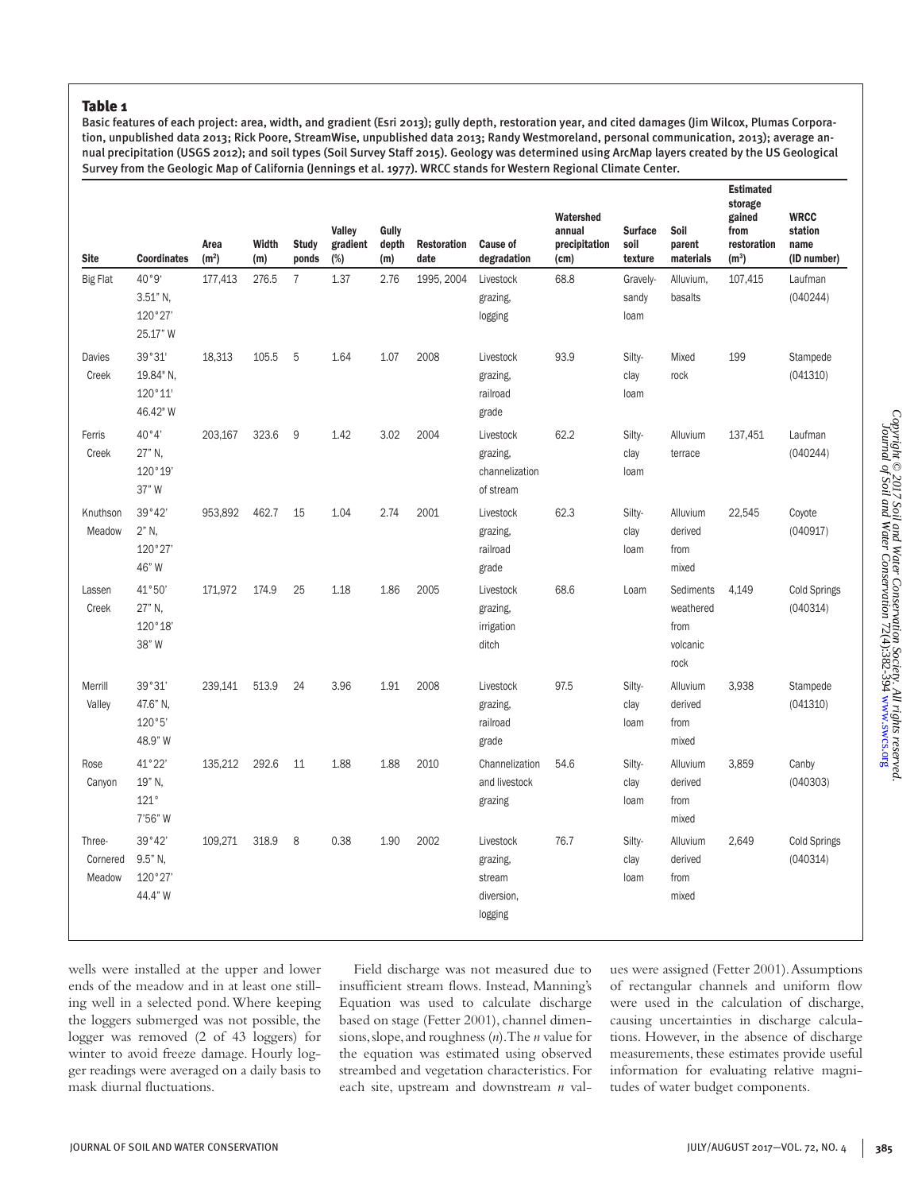#### Table 1

Basic features of each project: area, width, and gradient (Esri 2013); gully depth, restoration year, and cited damages (Jim Wilcox, Plumas Corporation, unpublished data 2013; Rick Poore, StreamWise, unpublished data 2013; Randy Westmoreland, personal communication, 2013); average annual precipitation (USGS 2012); and soil types (Soil Survey Staff 2015). Geology was determined using ArcMap layers created by the US Geological Survey from the Geologic Map of California (Jennings et al. 1977). WRCC stands for Western Regional Climate Center.

| <b>Site</b>                  | <b>Coordinates</b>                        | Area<br>(m <sup>2</sup> ) | Width<br>(m) | <b>Study</b><br>ponds | Valley<br>gradient<br>$(\%)$ | Gully<br>depth<br>(m) | <b>Restoration</b><br>date | <b>Cause of</b><br>degradation                           | Watershed<br>annual<br>precipitation<br>(cm) | <b>Surface</b><br>soil<br>texture | Soil<br>parent<br>materials                        | Estimated<br>storage<br>gained<br>from<br>restoration<br>$(m^3)$ | <b>WRCC</b><br>station<br>name<br>(ID number) |
|------------------------------|-------------------------------------------|---------------------------|--------------|-----------------------|------------------------------|-----------------------|----------------------------|----------------------------------------------------------|----------------------------------------------|-----------------------------------|----------------------------------------------------|------------------------------------------------------------------|-----------------------------------------------|
| <b>Big Flat</b>              | 40°9'                                     | 177,413                   | 276.5        | $\overline{7}$        | 1.37                         | 2.76                  | 1995, 2004                 | Livestock                                                | 68.8                                         | Gravely-                          | Alluvium,                                          | 107,415                                                          | Laufman                                       |
|                              | 3.51" N,<br>120°27'<br>25.17" W           |                           |              |                       |                              |                       |                            | grazing,<br>logging                                      |                                              | sandy<br>loam                     | basalts                                            |                                                                  | (040244)                                      |
| Davies<br>Creek              | 39°31'<br>19.84" N.<br>120°11'<br>46.42"W | 18,313                    | 105.5        | 5                     | 1.64                         | 1.07                  | 2008                       | Livestock<br>grazing,<br>railroad<br>grade               | 93.9                                         | Silty-<br>clay<br>loam            | Mixed<br>rock                                      | 199                                                              | Stampede<br>(041310)                          |
| Ferris<br>Creek              | 40°4'<br>27" N,<br>120°19'<br>37" W       | 203,167                   | 323.6        | 9                     | 1.42                         | 3.02                  | 2004                       | Livestock<br>grazing,<br>channelization<br>of stream     | 62.2                                         | Silty-<br>clay<br>loam            | Alluvium<br>terrace                                | 137,451                                                          | Laufman<br>(040244)                           |
| Knuthson<br>Meadow           | 39°42'<br>2" N,<br>120°27'<br>46" W       | 953,892                   | 462.7        | 15                    | 1.04                         | 2.74                  | 2001                       | Livestock<br>grazing,<br>railroad<br>grade               | 62.3                                         | Silty-<br>clay<br>loam            | Alluvium<br>derived<br>from<br>mixed               | 22,545                                                           | Coyote<br>(040917)                            |
| Lassen<br>Creek              | 41°50'<br>27" N.<br>120°18'<br>38" W      | 171,972                   | 174.9        | 25                    | 1.18                         | 1.86                  | 2005                       | Livestock<br>grazing,<br>irrigation<br>ditch             | 68.6                                         | Loam                              | Sediments<br>weathered<br>from<br>volcanic<br>rock | 4,149                                                            | <b>Cold Springs</b><br>(040314)               |
| Merrill<br>Valley            | 39°31'<br>47.6" N,<br>120°5'<br>48.9" W   | 239,141                   | 513.9        | 24                    | 3.96                         | 1.91                  | 2008                       | Livestock<br>grazing,<br>railroad<br>grade               | 97.5                                         | Silty-<br>clay<br>loam            | Alluvium<br>derived<br>from<br>mixed               | 3,938                                                            | Stampede<br>(041310)                          |
| Rose<br>Canyon               | 41°22'<br>19" N,<br>121°<br>7'56" W       | 135,212                   | 292.6        | 11                    | 1.88                         | 1.88                  | 2010                       | Channelization<br>and livestock<br>grazing               | 54.6                                         | Silty-<br>clay<br>loam            | Alluvium<br>derived<br>from<br>mixed               | 3,859                                                            | Canby<br>(040303)                             |
| Three-<br>Cornered<br>Meadow | 39°42'<br>9.5" N,<br>120°27'<br>44.4" W   | 109,271                   | 318.9        | 8                     | 0.38                         | 1.90                  | 2002                       | Livestock<br>grazing,<br>stream<br>diversion.<br>logging | 76.7                                         | Silty-<br>clay<br>loam            | Alluvium<br>derived<br>from<br>mixed               | 2,649                                                            | <b>Cold Springs</b><br>(040314)               |

wells were installed at the upper and lower ends of the meadow and in at least one stilling well in a selected pond. Where keeping the loggers submerged was not possible, the logger was removed (2 of 43 loggers) for winter to avoid freeze damage. Hourly logger readings were averaged on a daily basis to mask diurnal fluctuations.

Field discharge was not measured due to insufficient stream flows. Instead, Manning's Equation was used to calculate discharge based on stage (Fetter 2001), channel dimensions, slope, and roughness (*n*). The *n* value for the equation was estimated using observed streambed and vegetation characteristics. For each site, upstream and downstream *n* values were assigned (Fetter 2001). Assumptions of rectangular channels and uniform flow were used in the calculation of discharge, causing uncertainties in discharge calculations. However, in the absence of discharge measurements, these estimates provide useful information for evaluating relative magnitudes of water budget components.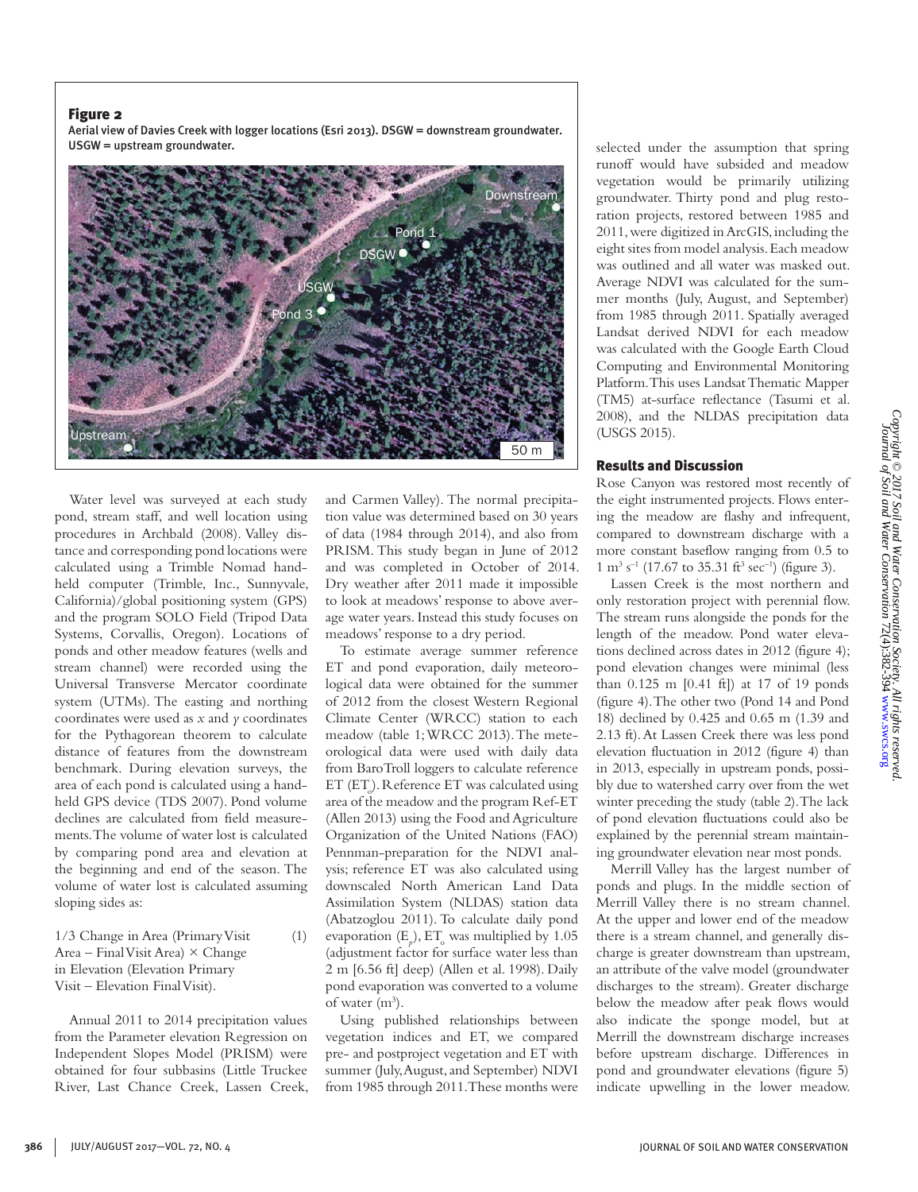Aerial view of Davies Creek with logger locations (Esri 2013). DSGW = downstream groundwater. USGW = upstream groundwater.



Water level was surveyed at each study pond, stream staff, and well location using procedures in Archbald (2008). Valley distance and corresponding pond locations were calculated using a Trimble Nomad handheld computer (Trimble, Inc., Sunnyvale, California)/global positioning system (GPS) and the program SOLO Field (Tripod Data Systems, Corvallis, Oregon). Locations of ponds and other meadow features (wells and stream channel) were recorded using the Universal Transverse Mercator coordinate system (UTMs). The easting and northing coordinates were used as *x* and *y* coordinates for the Pythagorean theorem to calculate distance of features from the downstream benchmark. During elevation surveys, the area of each pond is calculated using a handheld GPS device (TDS 2007). Pond volume declines are calculated from field measurements. The volume of water lost is calculated by comparing pond area and elevation at the beginning and end of the season. The volume of water lost is calculated assuming sloping sides as:

1/3 Change in Area (Primary Visit (1) Area – Final Visit Area)  $\times$  Change in Elevation (Elevation Primary Visit – Elevation Final Visit).

Annual 2011 to 2014 precipitation values from the Parameter elevation Regression on Independent Slopes Model (PRISM) were obtained for four subbasins (Little Truckee River, Last Chance Creek, Lassen Creek, and Carmen Valley). The normal precipitation value was determined based on 30 years of data (1984 through 2014), and also from PRISM. This study began in June of 2012 and was completed in October of 2014. Dry weather after 2011 made it impossible to look at meadows' response to above average water years. Instead this study focuses on meadows' response to a dry period.

To estimate average summer reference ET and pond evaporation, daily meteorological data were obtained for the summer of 2012 from the closest Western Regional Climate Center (WRCC) station to each meadow (table 1; WRCC 2013). The meteorological data were used with daily data from BaroTroll loggers to calculate reference  $ET$  ( $ET<sub>o</sub>$ ). Reference ET was calculated using area of the meadow and the program Ref-ET (Allen 2013) using the Food and Agriculture Organization of the United Nations (FAO) Pennman-preparation for the NDVI analysis; reference ET was also calculated using downscaled North American Land Data Assimilation System (NLDAS) station data (Abatzoglou 2011). To calculate daily pond evaporation  $(E_p)$ ,  $ET_o$  was multiplied by 1.05 (adjustment factor for surface water less than 2 m [6.56 ft] deep) (Allen et al. 1998). Daily pond evaporation was converted to a volume of water  $(m^3)$ .

Using published relationships between vegetation indices and ET, we compared pre- and postproject vegetation and ET with summer (July, August, and September) NDVI from 1985 through 2011. These months were

selected under the assumption that spring runoff would have subsided and meadow vegetation would be primarily utilizing groundwater. Thirty pond and plug restoration projects, restored between 1985 and 2011, were digitized in ArcGIS, including the eight sites from model analysis. Each meadow was outlined and all water was masked out. Average NDVI was calculated for the summer months (July, August, and September) from 1985 through 2011. Spatially averaged Landsat derived NDVI for each meadow was calculated with the Google Earth Cloud Computing and Environmental Monitoring Platform. This uses Landsat Thematic Mapper (TM5) at-surface reflectance (Tasumi et al. 2008), and the NLDAS precipitation data (USGS 2015).

#### Results and Discussion

Rose Canyon was restored most recently of the eight instrumented projects. Flows entering the meadow are flashy and infrequent, compared to downstream discharge with a more constant baseflow ranging from 0.5 to  $1 \text{ m}^3 \text{ s}^{-1}$  (17.67 to 35.31 ft<sup>3</sup> sec<sup>-1</sup>) (figure 3).

Lassen Creek is the most northern and only restoration project with perennial flow. The stream runs alongside the ponds for the length of the meadow. Pond water elevations declined across dates in 2012 (figure 4); pond elevation changes were minimal (less than 0.125 m [0.41 ft]) at 17 of 19 ponds (figure 4). The other two (Pond 14 and Pond 18) declined by 0.425 and 0.65 m (1.39 and 2.13 ft). At Lassen Creek there was less pond elevation fluctuation in 2012 (figure 4) than in 2013, especially in upstream ponds, possibly due to watershed carry over from the wet winter preceding the study (table 2). The lack of pond elevation fluctuations could also be explained by the perennial stream maintaining groundwater elevation near most ponds.

Merrill Valley has the largest number of ponds and plugs. In the middle section of Merrill Valley there is no stream channel. At the upper and lower end of the meadow there is a stream channel, and generally discharge is greater downstream than upstream, an attribute of the valve model (groundwater discharges to the stream). Greater discharge below the meadow after peak flows would also indicate the sponge model, but at Merrill the downstream discharge increases before upstream discharge. Differences in pond and groundwater elevations (figure 5) indicate upwelling in the lower meadow.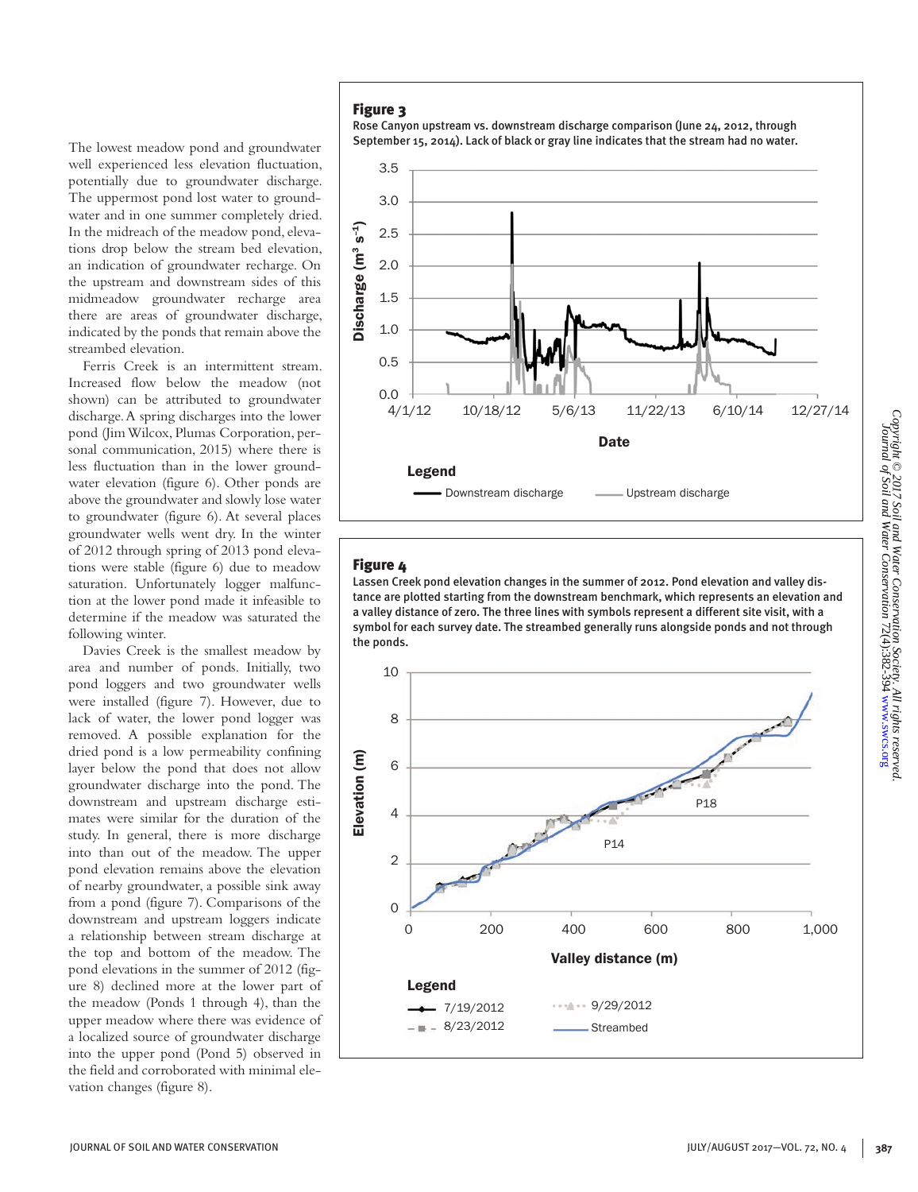The lowest meadow pond and groundwater well experienced less elevation fluctuation, potentially due to groundwater discharge. The uppermost pond lost water to groundwater and in one summer completely dried. In the midreach of the meadow pond, elevations drop below the stream bed elevation, an indication of groundwater recharge. On the upstream and downstream sides of this midmeadow groundwater recharge area there are areas of groundwater discharge, indicated by the ponds that remain above the streambed elevation.

Ferris Creek is an intermittent stream. Increased flow below the meadow (not shown) can be attributed to groundwater discharge. A spring discharges into the lower pond (Jim Wilcox, Plumas Corporation, personal communication, 2015) where there is less fluctuation than in the lower groundwater elevation (figure 6). Other ponds are above the groundwater and slowly lose water to groundwater (figure 6). At several places groundwater wells went dry. In the winter of 2012 through spring of 2013 pond elevations were stable (figure 6) due to meadow saturation. Unfortunately logger malfunction at the lower pond made it infeasible to determine if the meadow was saturated the following winter.

Davies Creek is the smallest meadow by area and number of ponds. Initially, two pond loggers and two groundwater wells were installed (figure 7). However, due to lack of water, the lower pond logger was removed. A possible explanation for the dried pond is a low permeability confining layer below the pond that does not allow groundwater discharge into the pond. The downstream and upstream discharge estimates were similar for the duration of the study. In general, there is more discharge into than out of the meadow. The upper pond elevation remains above the elevation of nearby groundwater, a possible sink away from a pond (figure 7). Comparisons of the downstream and upstream loggers indicate a relationship between stream discharge at the top and bottom of the meadow. The pond elevations in the summer of 2012 (figure 8) declined more at the lower part of the meadow (Ponds 1 through 4), than the upper meadow where there was evidence of a localized source of groundwater discharge into the upper pond (Pond 5) observed in the field and corroborated with minimal elevation changes (figure 8).

Rose Canyon upstream vs. downstream discharge comparison (June 24, 2012, through September 15, 2014). Lack of black or gray line indicates that the stream had no water.



## Figure 4

Lassen Creek pond elevation changes in the summer of 2012. Pond elevation and valley distance are plotted starting from the downstream benchmark, which represents an elevation and a valley distance of zero. The three lines with symbols represent a different site visit, with a symbol for each survey date. The streambed generally runs alongside ponds and not through the ponds.

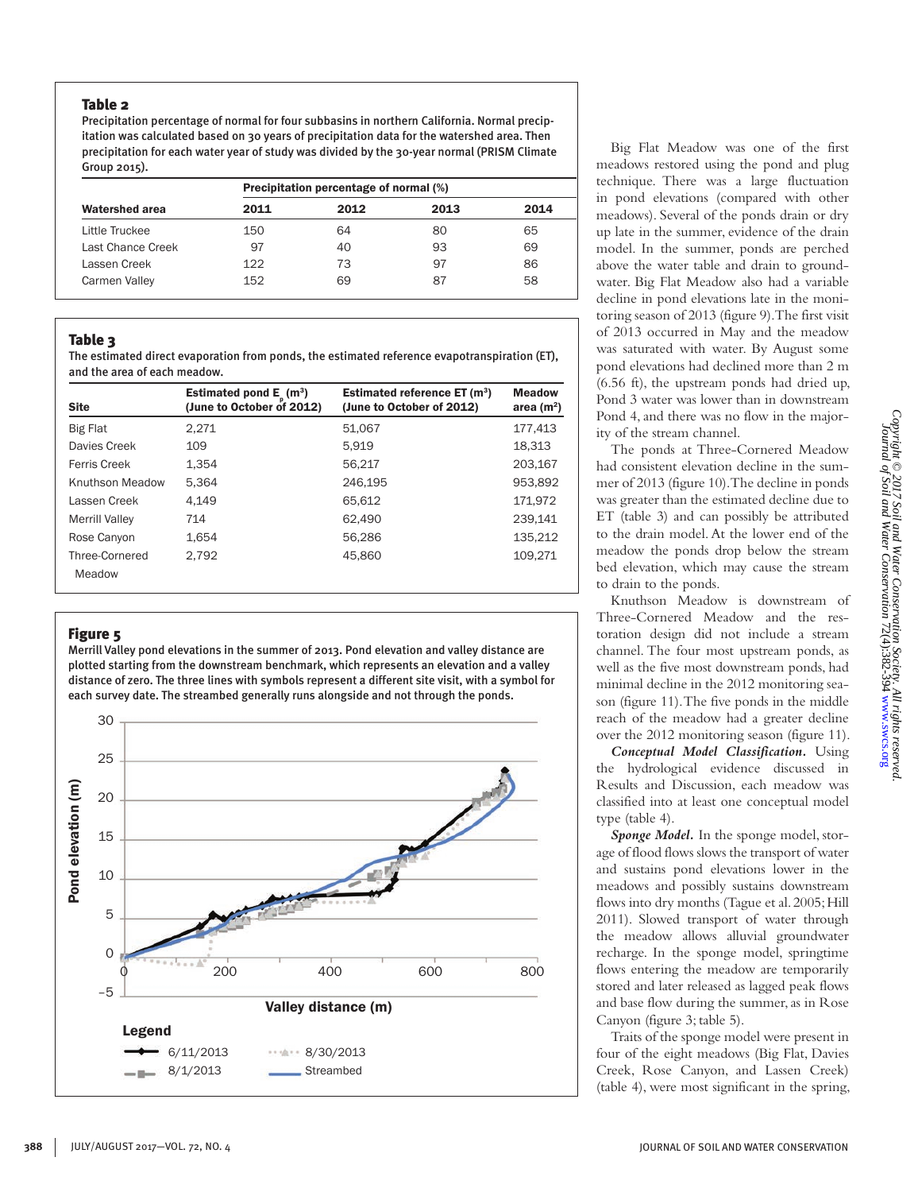## Table 2

Precipitation percentage of normal for four subbasins in northern California. Normal precipitation was calculated based on 30 years of precipitation data for the watershed area. Then precipitation for each water year of study was divided by the 30-year normal (PRISM Climate Group 2015).

|                       | Precipitation percentage of normal (%) |      |      |      |  |  |
|-----------------------|----------------------------------------|------|------|------|--|--|
| <b>Watershed area</b> | 2011                                   | 2012 | 2013 | 2014 |  |  |
| Little Truckee        | 150                                    | 64   | 80   | 65   |  |  |
| Last Chance Creek     | 97                                     | 40   | 93   | 69   |  |  |
| Lassen Creek          | 122                                    | 73   | 97   | 86   |  |  |
| Carmen Valley         | 152                                    | 69   | 87   | 58   |  |  |

## Table 3

The estimated direct evaporation from ponds, the estimated reference evapotranspiration (ET), and the area of each meadow.

| <b>Site</b>              | Estimated pond $E_p(m^3)$<br>(June to October of 2012) | Estimated reference $ET(m^3)$<br>(June to October of 2012) | <b>Meadow</b><br>area $(m2)$ |
|--------------------------|--------------------------------------------------------|------------------------------------------------------------|------------------------------|
| <b>Big Flat</b>          | 2.271                                                  | 51.067                                                     | 177,413                      |
| Davies Creek             | 109                                                    | 5,919                                                      | 18.313                       |
| Ferris Creek             | 1.354                                                  | 56.217                                                     | 203.167                      |
| Knuthson Meadow          | 5.364                                                  | 246.195                                                    | 953.892                      |
| Lassen Creek             | 4.149                                                  | 65.612                                                     | 171.972                      |
| Merrill Valley           | 714                                                    | 62.490                                                     | 239.141                      |
| Rose Canyon              | 1.654                                                  | 56.286                                                     | 135,212                      |
| Three-Cornered<br>Meadow | 2.792                                                  | 45.860                                                     | 109,271                      |

## Figure 5

Merrill Valley pond elevations in the summer of 2013. Pond elevation and valley distance are plotted starting from the downstream benchmark, which represents an elevation and a valley distance of zero. The three lines with symbols represent a different site visit, with a symbol for each survey date. The streambed generally runs alongside and not through the ponds.



Big Flat Meadow was one of the first meadows restored using the pond and plug technique. There was a large fluctuation in pond elevations (compared with other meadows). Several of the ponds drain or dry up late in the summer, evidence of the drain model. In the summer, ponds are perched above the water table and drain to groundwater. Big Flat Meadow also had a variable decline in pond elevations late in the monitoring season of 2013 (figure 9). The first visit of 2013 occurred in May and the meadow was saturated with water. By August some pond elevations had declined more than 2 m (6.56 ft), the upstream ponds had dried up, Pond 3 water was lower than in downstream Pond 4, and there was no flow in the majority of the stream channel.

The ponds at Three-Cornered Meadow had consistent elevation decline in the summer of 2013 (figure 10). The decline in ponds was greater than the estimated decline due to ET (table 3) and can possibly be attributed to the drain model. At the lower end of the meadow the ponds drop below the stream bed elevation, which may cause the stream to drain to the ponds.

Knuthson Meadow is downstream of Three-Cornered Meadow and the restoration design did not include a stream channel. The four most upstream ponds, as well as the five most downstream ponds, had minimal decline in the 2012 monitoring season (figure 11). The five ponds in the middle reach of the meadow had a greater decline over the 2012 monitoring season (figure 11).

*Conceptual Model Classification.* Using the hydrological evidence discussed in Results and Discussion, each meadow was classified into at least one conceptual model type (table 4).

*Sponge Model.* In the sponge model, storage of flood flows slows the transport of water and sustains pond elevations lower in the meadows and possibly sustains downstream flows into dry months (Tague et al. 2005; Hill 2011). Slowed transport of water through the meadow allows alluvial groundwater recharge. In the sponge model, springtime flows entering the meadow are temporarily stored and later released as lagged peak flows and base flow during the summer, as in Rose Canyon (figure 3; table 5).

Traits of the sponge model were present in four of the eight meadows (Big Flat, Davies Creek, Rose Canyon, and Lassen Creek) (table 4), were most significant in the spring,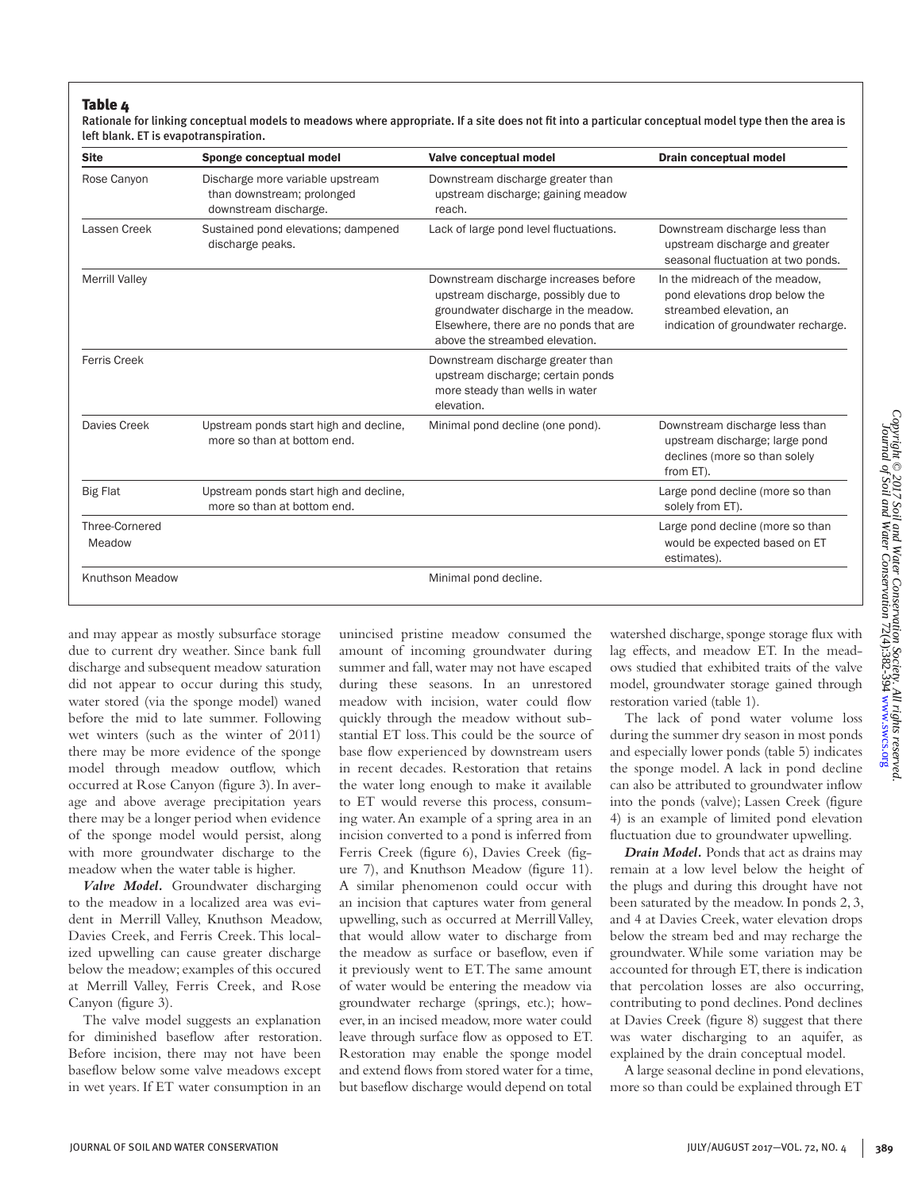## Table 4

Rationale for linking conceptual models to meadows where appropriate. If a site does not fit into a particular conceptual model type then the area is left blank. ET is evapotranspiration.

| <b>Site</b>              | Sponge conceptual model                                                                 | Valve conceptual model                                                                                                                                                                           | <b>Drain conceptual model</b>                                                                                                      |
|--------------------------|-----------------------------------------------------------------------------------------|--------------------------------------------------------------------------------------------------------------------------------------------------------------------------------------------------|------------------------------------------------------------------------------------------------------------------------------------|
| Rose Canyon              | Discharge more variable upstream<br>than downstream; prolonged<br>downstream discharge. | Downstream discharge greater than<br>upstream discharge; gaining meadow<br>reach.                                                                                                                |                                                                                                                                    |
| Lassen Creek             | Sustained pond elevations; dampened<br>discharge peaks.                                 | Lack of large pond level fluctuations.                                                                                                                                                           | Downstream discharge less than<br>upstream discharge and greater<br>seasonal fluctuation at two ponds.                             |
| <b>Merrill Valley</b>    |                                                                                         | Downstream discharge increases before<br>upstream discharge, possibly due to<br>groundwater discharge in the meadow.<br>Elsewhere, there are no ponds that are<br>above the streambed elevation. | In the midreach of the meadow,<br>pond elevations drop below the<br>streambed elevation, an<br>indication of groundwater recharge. |
| <b>Ferris Creek</b>      |                                                                                         | Downstream discharge greater than<br>upstream discharge; certain ponds<br>more steady than wells in water<br>elevation.                                                                          |                                                                                                                                    |
| Davies Creek             | Upstream ponds start high and decline,<br>more so than at bottom end.                   | Minimal pond decline (one pond).                                                                                                                                                                 | Downstream discharge less than<br>upstream discharge; large pond<br>declines (more so than solely<br>from ET).                     |
| <b>Big Flat</b>          | Upstream ponds start high and decline,<br>more so than at bottom end.                   |                                                                                                                                                                                                  | Large pond decline (more so than<br>solely from ET).                                                                               |
| Three-Cornered<br>Meadow |                                                                                         |                                                                                                                                                                                                  | Large pond decline (more so than<br>would be expected based on ET<br>estimates).                                                   |
| Knuthson Meadow          |                                                                                         | Minimal pond decline.                                                                                                                                                                            |                                                                                                                                    |

and may appear as mostly subsurface storage due to current dry weather. Since bank full discharge and subsequent meadow saturation did not appear to occur during this study, water stored (via the sponge model) waned before the mid to late summer. Following wet winters (such as the winter of 2011) there may be more evidence of the sponge model through meadow outflow, which occurred at Rose Canyon (figure 3). In average and above average precipitation years there may be a longer period when evidence of the sponge model would persist, along with more groundwater discharge to the meadow when the water table is higher.

*Valve Model.* Groundwater discharging to the meadow in a localized area was evident in Merrill Valley, Knuthson Meadow, Davies Creek, and Ferris Creek. This localized upwelling can cause greater discharge below the meadow; examples of this occured at Merrill Valley, Ferris Creek, and Rose Canyon (figure 3).

The valve model suggests an explanation for diminished baseflow after restoration. Before incision, there may not have been baseflow below some valve meadows except in wet years. If ET water consumption in an

unincised pristine meadow consumed the amount of incoming groundwater during summer and fall, water may not have escaped during these seasons. In an unrestored meadow with incision, water could flow quickly through the meadow without substantial ET loss. This could be the source of base flow experienced by downstream users in recent decades. Restoration that retains the water long enough to make it available to ET would reverse this process, consuming water. An example of a spring area in an incision converted to a pond is inferred from Ferris Creek (figure 6), Davies Creek (figure 7), and Knuthson Meadow (figure 11). A similar phenomenon could occur with an incision that captures water from general upwelling, such as occurred at Merrill Valley, that would allow water to discharge from the meadow as surface or baseflow, even if it previously went to ET. The same amount of water would be entering the meadow via groundwater recharge (springs, etc.); however, in an incised meadow, more water could leave through surface flow as opposed to ET. Restoration may enable the sponge model and extend flows from stored water for a time, but baseflow discharge would depend on total

watershed discharge, sponge storage flux with lag effects, and meadow ET. In the meadows studied that exhibited traits of the valve model, groundwater storage gained through restoration varied (table 1).

The lack of pond water volume loss during the summer dry season in most ponds and especially lower ponds (table 5) indicates the sponge model. A lack in pond decline can also be attributed to groundwater inflow into the ponds (valve); Lassen Creek (figure 4) is an example of limited pond elevation fluctuation due to groundwater upwelling.

*Drain Model.* Ponds that act as drains may remain at a low level below the height of the plugs and during this drought have not been saturated by the meadow. In ponds 2, 3, and 4 at Davies Creek, water elevation drops below the stream bed and may recharge the groundwater. While some variation may be accounted for through ET, there is indication that percolation losses are also occurring, contributing to pond declines. Pond declines at Davies Creek (figure 8) suggest that there was water discharging to an aquifer, as explained by the drain conceptual model.

A large seasonal decline in pond elevations, more so than could be explained through ET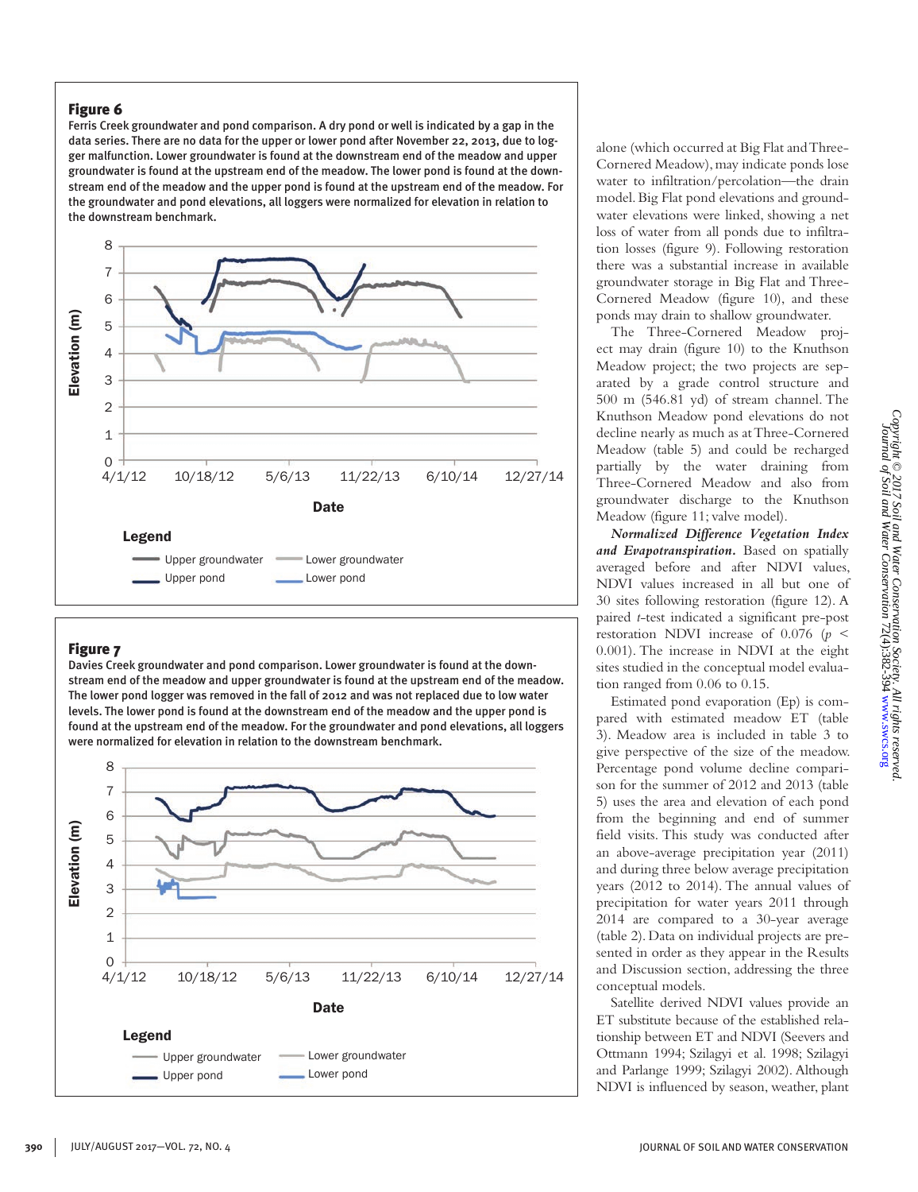Ferris Creek groundwater and pond comparison. A dry pond or well is indicated by a gap in the data series. There are no data for the upper or lower pond after November 22, 2013, due to logger malfunction. Lower groundwater is found at the downstream end of the meadow and upper groundwater is found at the upstream end of the meadow. The lower pond is found at the downstream end of the meadow and the upper pond is found at the upstream end of the meadow. For the groundwater and pond elevations, all loggers were normalized for elevation in relation to the downstream benchmark.



## Figure 7

Davies Creek groundwater and pond comparison. Lower groundwater is found at the downstream end of the meadow and upper groundwater is found at the upstream end of the meadow. The lower pond logger was removed in the fall of 2012 and was not replaced due to low water levels. The lower pond is found at the downstream end of the meadow and the upper pond is found at the upstream end of the meadow. For the groundwater and pond elevations, all loggers were normalized for elevation in relation to the downstream benchmark.



alone (which occurred at Big Flat and Three-Cornered Meadow), may indicate ponds lose water to infiltration/percolation—the drain model. Big Flat pond elevations and groundwater elevations were linked, showing a net loss of water from all ponds due to infiltration losses (figure 9). Following restoration there was a substantial increase in available groundwater storage in Big Flat and Three-Cornered Meadow (figure 10), and these ponds may drain to shallow groundwater.

The Three-Cornered Meadow project may drain (figure 10) to the Knuthson Meadow project; the two projects are separated by a grade control structure and 500 m (546.81 yd) of stream channel. The Knuthson Meadow pond elevations do not decline nearly as much as at Three-Cornered Meadow (table 5) and could be recharged partially by the water draining from Three-Cornered Meadow and also from groundwater discharge to the Knuthson Meadow (figure 11; valve model).

*Normalized Difference Vegetation Index and Evapotranspiration.* Based on spatially averaged before and after NDVI values, NDVI values increased in all but one of 30 sites following restoration (figure 12). A paired *t*-test indicated a significant pre-post restoration NDVI increase of 0.076 (*p* < 0.001). The increase in NDVI at the eight sites studied in the conceptual model evaluation ranged from 0.06 to 0.15.

Estimated pond evaporation (Ep) is compared with estimated meadow ET (table 3). Meadow area is included in table 3 to give perspective of the size of the meadow. Percentage pond volume decline comparison for the summer of 2012 and 2013 (table 5) uses the area and elevation of each pond from the beginning and end of summer field visits. This study was conducted after an above-average precipitation year (2011) and during three below average precipitation years (2012 to 2014). The annual values of precipitation for water years 2011 through 2014 are compared to a 30-year average (table 2). Data on individual projects are presented in order as they appear in the Results and Discussion section, addressing the three conceptual models.

Satellite derived NDVI values provide an ET substitute because of the established relationship between ET and NDVI (Seevers and Ottmann 1994; Szilagyi et al. 1998; Szilagyi and Parlange 1999; Szilagyi 2002). Although NDVI is influenced by season, weather, plant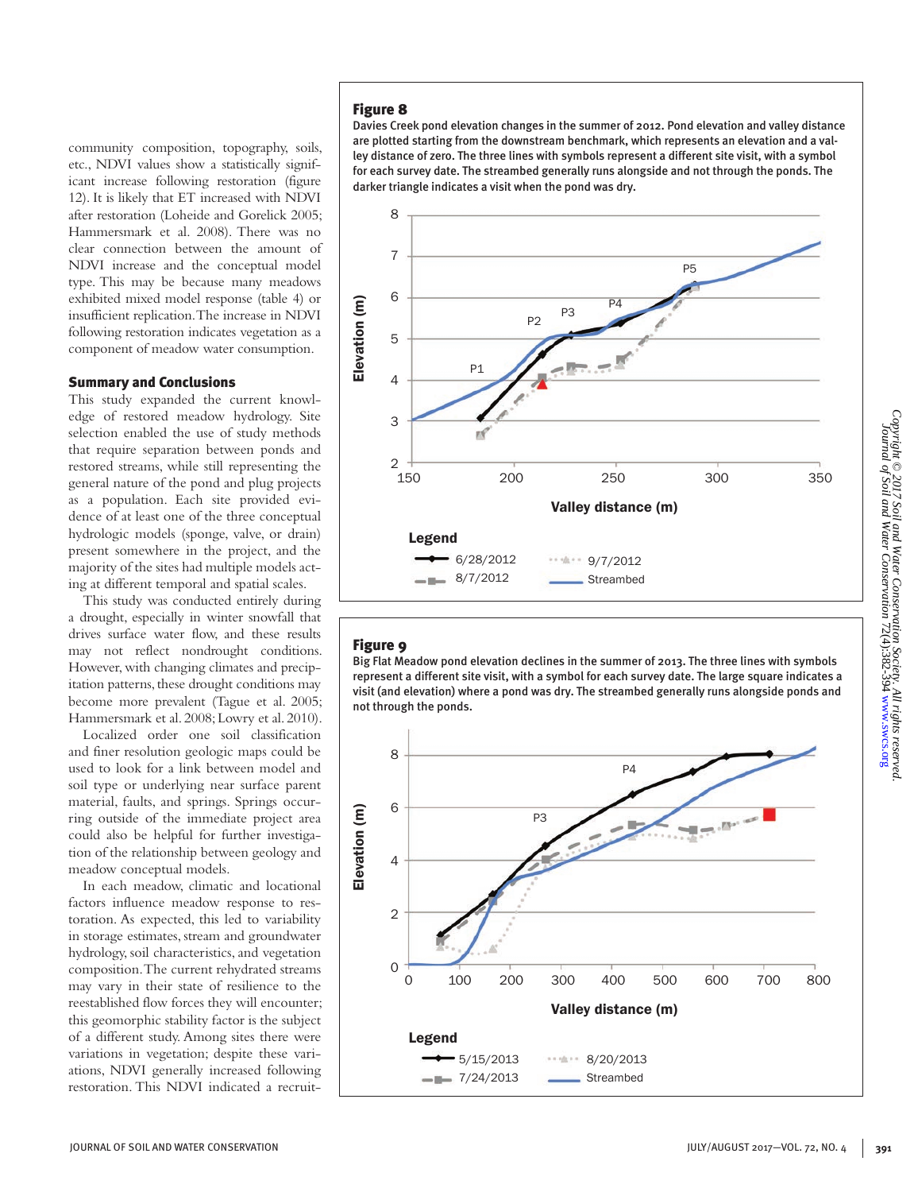community composition, topography, soils, etc., NDVI values show a statistically significant increase following restoration (figure 12). It is likely that ET increased with NDVI after restoration (Loheide and Gorelick 2005; Hammersmark et al. 2008). There was no clear connection between the amount of NDVI increase and the conceptual model type. This may be because many meadows exhibited mixed model response (table 4) or insufficient replication. The increase in NDVI following restoration indicates vegetation as a component of meadow water consumption.

#### Summary and Conclusions

This study expanded the current knowledge of restored meadow hydrology. Site selection enabled the use of study methods that require separation between ponds and restored streams, while still representing the general nature of the pond and plug projects as a population. Each site provided evidence of at least one of the three conceptual hydrologic models (sponge, valve, or drain) present somewhere in the project, and the majority of the sites had multiple models acting at different temporal and spatial scales.

This study was conducted entirely during a drought, especially in winter snowfall that drives surface water flow, and these results may not reflect nondrought conditions. However, with changing climates and precipitation patterns, these drought conditions may become more prevalent (Tague et al. 2005; Hammersmark et al. 2008; Lowry et al. 2010).

Localized order one soil classification and finer resolution geologic maps could be used to look for a link between model and soil type or underlying near surface parent material, faults, and springs. Springs occurring outside of the immediate project area could also be helpful for further investigation of the relationship between geology and meadow conceptual models.

In each meadow, climatic and locational factors influence meadow response to restoration. As expected, this led to variability in storage estimates, stream and groundwater hydrology, soil characteristics, and vegetation composition. The current rehydrated streams may vary in their state of resilience to the reestablished flow forces they will encounter; this geomorphic stability factor is the subject of a different study. Among sites there were variations in vegetation; despite these variations, NDVI generally increased following restoration. This NDVI indicated a recruit-

### Figure 8

Davies Creek pond elevation changes in the summer of 2012. Pond elevation and valley distance are plotted starting from the downstream benchmark, which represents an elevation and a valley distance of zero. The three lines with symbols represent a different site visit, with a symbol for each survey date. The streambed generally runs alongside and not through the ponds. The darker triangle indicates a visit when the pond was dry.



#### Figure 9

Big Flat Meadow pond elevation declines in the summer of 2013. The three lines with symbols represent a different site visit, with a symbol for each survey date. The large square indicates a visit (and elevation) where a pond was dry. The streambed generally runs alongside ponds and not through the ponds.

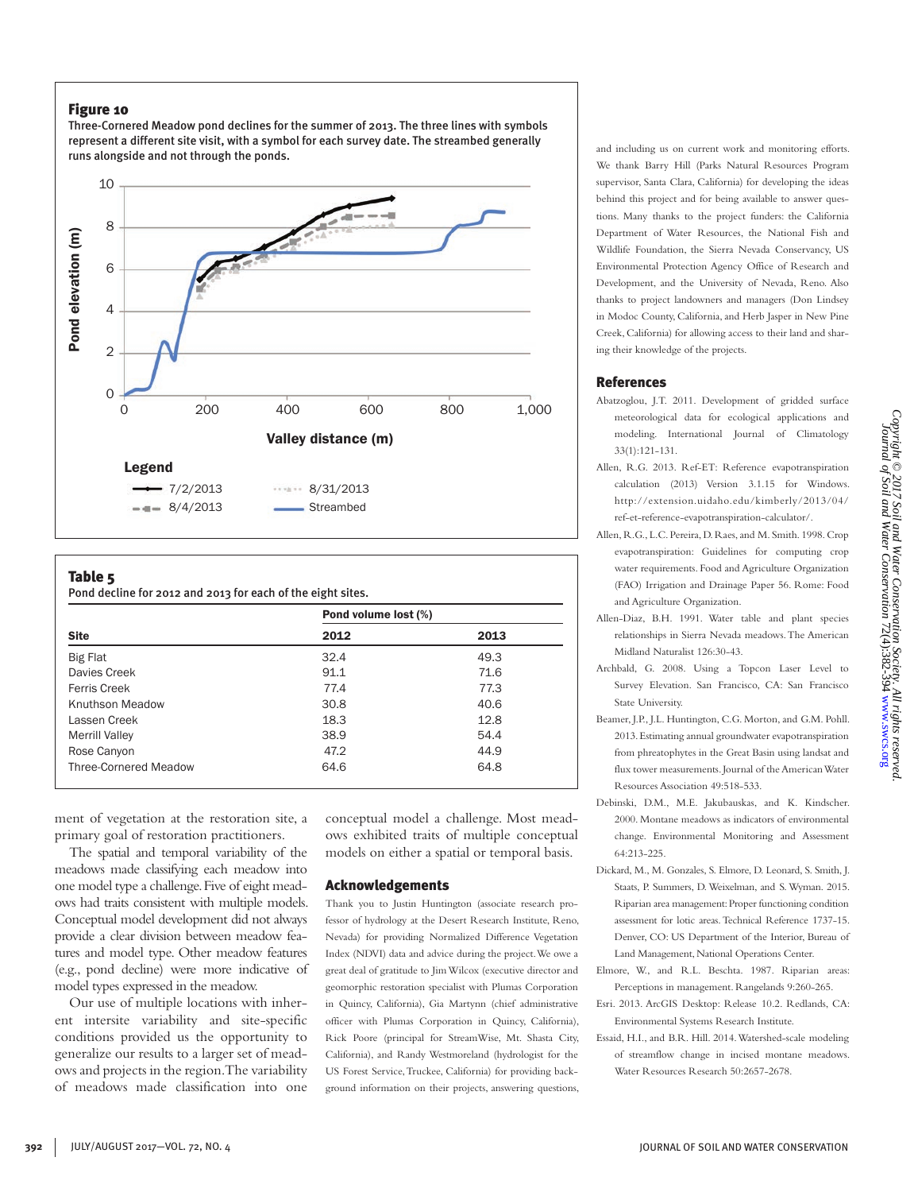Three-Cornered Meadow pond declines for the summer of 2013. The three lines with symbols represent a different site visit, with a symbol for each survey date. The streambed generally runs alongside and not through the ponds.



#### Table 5

Pond decline for 2012 and 2013 for each of the eight sites.

|                              | Pond volume lost (%) |      |  |
|------------------------------|----------------------|------|--|
| <b>Site</b>                  | 2012                 | 2013 |  |
| <b>Big Flat</b>              | 32.4                 | 49.3 |  |
| Davies Creek                 | 91.1                 | 71.6 |  |
| <b>Ferris Creek</b>          | 77.4                 | 77.3 |  |
| Knuthson Meadow              | 30.8                 | 40.6 |  |
| Lassen Creek                 | 18.3                 | 12.8 |  |
| <b>Merrill Valley</b>        | 38.9                 | 54.4 |  |
| Rose Canyon                  | 47.2                 | 44.9 |  |
| <b>Three-Cornered Meadow</b> | 64.6                 | 64.8 |  |

ment of vegetation at the restoration site, a primary goal of restoration practitioners.

The spatial and temporal variability of the meadows made classifying each meadow into one model type a challenge. Five of eight meadows had traits consistent with multiple models. Conceptual model development did not always provide a clear division between meadow features and model type. Other meadow features (e.g., pond decline) were more indicative of model types expressed in the meadow.

Our use of multiple locations with inherent intersite variability and site-specific conditions provided us the opportunity to generalize our results to a larger set of meadows and projects in the region. The variability of meadows made classification into one conceptual model a challenge. Most meadows exhibited traits of multiple conceptual models on either a spatial or temporal basis.

#### Acknowledgements

Thank you to Justin Huntington (associate research professor of hydrology at the Desert Research Institute, Reno, Nevada) for providing Normalized Difference Vegetation Index (NDVI) data and advice during the project. We owe a great deal of gratitude to Jim Wilcox (executive director and geomorphic restoration specialist with Plumas Corporation in Quincy, California), Gia Martynn (chief administrative officer with Plumas Corporation in Quincy, California), Rick Poore (principal for StreamWise, Mt. Shasta City, California), and Randy Westmoreland (hydrologist for the US Forest Service, Truckee, California) for providing background information on their projects, answering questions, and including us on current work and monitoring efforts. We thank Barry Hill (Parks Natural Resources Program supervisor, Santa Clara, California) for developing the ideas behind this project and for being available to answer questions. Many thanks to the project funders: the California Department of Water Resources, the National Fish and Wildlife Foundation, the Sierra Nevada Conservancy, US Environmental Protection Agency Office of Research and Development, and the University of Nevada, Reno. Also thanks to project landowners and managers (Don Lindsey in Modoc County, California, and Herb Jasper in New Pine Creek, California) for allowing access to their land and sharing their knowledge of the projects.

#### References

- Abatzoglou, J.T. 2011. Development of gridded surface meteorological data for ecological applications and modeling. International Journal of Climatology 33(1):121-131.
- Allen, R.G. 2013. Ref-ET: Reference evapotranspiration calculation (2013) Version 3.1.15 for Windows. http://extension.uidaho.edu/kimberly/2013/04/ ref-et-reference-evapotranspiration-calculator/.
- Allen, R.G., L.C. Pereira, D. Raes, and M. Smith. 1998. Crop evapotranspiration: Guidelines for computing crop water requirements. Food and Agriculture Organization (FAO) Irrigation and Drainage Paper 56. Rome: Food and Agriculture Organization.
- Allen-Diaz, B.H. 1991. Water table and plant species relationships in Sierra Nevada meadows. The American Midland Naturalist 126:30-43.
- Archbald, G. 2008. Using a Topcon Laser Level to Survey Elevation. San Francisco, CA: San Francisco State University.
- Beamer, J.P., J.L. Huntington, C.G. Morton, and G.M. Pohll. 2013. Estimating annual groundwater evapotranspiration from phreatophytes in the Great Basin using landsat and flux tower measurements. Journal of the American Water Resources Association 49:518-533.
- Debinski, D.M., M.E. Jakubauskas, and K. Kindscher. 2000. Montane meadows as indicators of environmental change. Environmental Monitoring and Assessment 64:213-225.
- Dickard, M., M. Gonzales, S. Elmore, D. Leonard, S. Smith, J. Staats, P. Summers, D. Weixelman, and S. Wyman. 2015. Riparian area management: Proper functioning condition assessment for lotic areas. Technical Reference 1737-15. Denver, CO: US Department of the Interior, Bureau of Land Management, National Operations Center.
- Elmore, W., and R.L. Beschta. 1987. Riparian areas: Perceptions in management. Rangelands 9:260-265.
- Esri. 2013. ArcGIS Desktop: Release 10.2. Redlands, CA: Environmental Systems Research Institute.
- Essaid, H.I., and B.R. Hill. 2014. Watershed-scale modeling of streamflow change in incised montane meadows. Water Resources Research 50:2657-2678.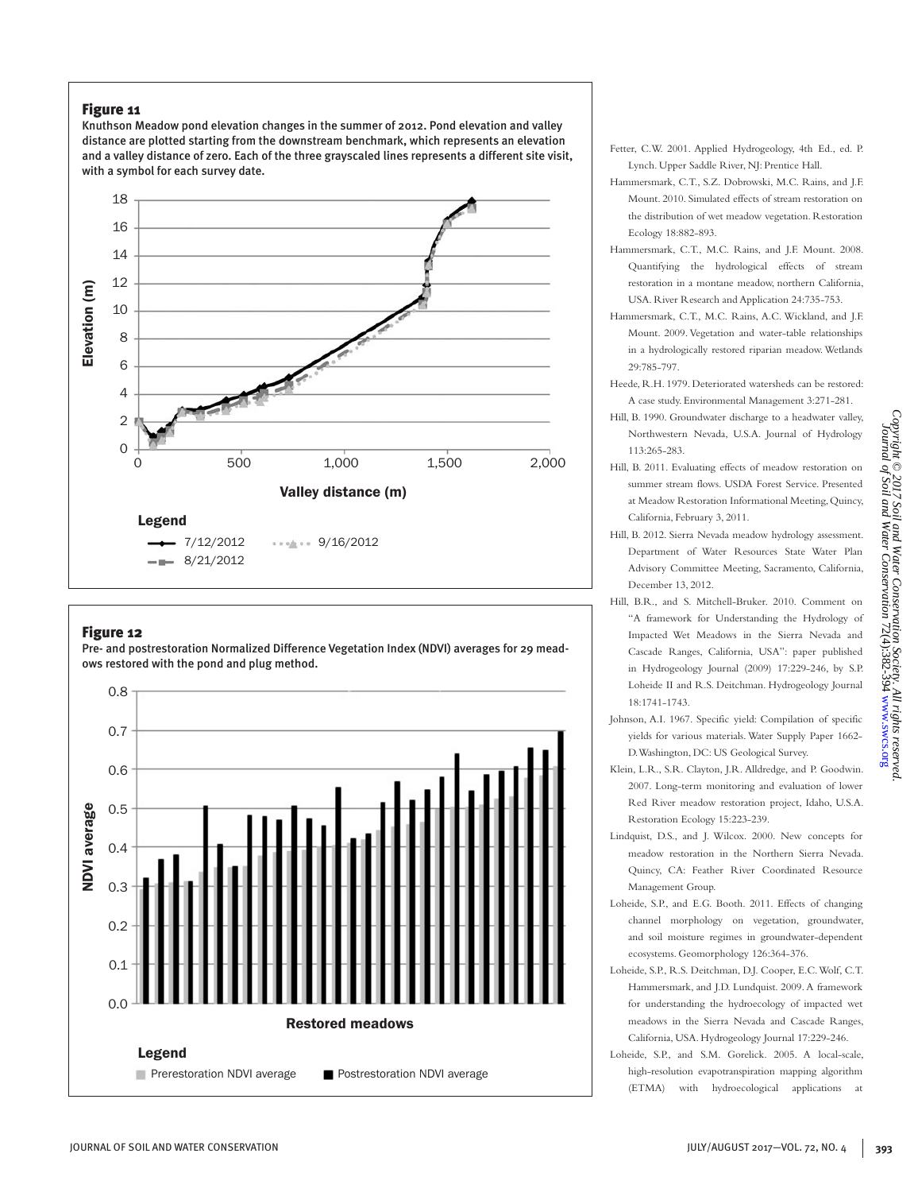Knuthson Meadow pond elevation changes in the summer of 2012. Pond elevation and valley distance are plotted starting from the downstream benchmark, which represents an elevation and a valley distance of zero. Each of the three grayscaled lines represents a different site visit, with a symbol for each survey date.



## Figure 12

Pre- and postrestoration Normalized Difference Vegetation Index (NDVI) averages for 29 meadows restored with the pond and plug method.



- Fetter, C.W. 2001. Applied Hydrogeology, 4th Ed., ed. P. Lynch. Upper Saddle River, NJ: Prentice Hall.
- Hammersmark, C.T., S.Z. Dobrowski, M.C. Rains, and J.F. Mount. 2010. Simulated effects of stream restoration on the distribution of wet meadow vegetation. Restoration Ecology 18:882-893.
- Hammersmark, C.T., M.C. Rains, and J.F. Mount. 2008. Quantifying the hydrological effects of stream restoration in a montane meadow, northern California, USA. River Research and Application 24:735-753.
- Hammersmark, C.T., M.C. Rains, A.C. Wickland, and J.F. Mount. 2009. Vegetation and water-table relationships in a hydrologically restored riparian meadow. Wetlands 29:785-797.
- Heede, R.H. 1979. Deteriorated watersheds can be restored: A case study. Environmental Management 3:271-281.
- Hill, B. 1990. Groundwater discharge to a headwater valley, Northwestern Nevada, U.S.A. Journal of Hydrology 113:265-283.
- Hill, B. 2011. Evaluating effects of meadow restoration on summer stream flows. USDA Forest Service. Presented at Meadow Restoration Informational Meeting, Quincy, California, February 3, 2011.
- Hill, B. 2012. Sierra Nevada meadow hydrology assessment. Department of Water Resources State Water Plan Advisory Committee Meeting, Sacramento, California, December 13, 2012.

*Copyright © 2017 Soil and Water Conservation Society. All rights reserved.* Journal of Soil and Water Conservation 72(4):382-394 [www.swcs.org](http://www.swcs.org)

and Water Conservation Society. All rights reserved<br>Water Conservation 72(4):382-394 www.swcs.org

Copyright © 2017 Soil<br>Journal of Soil and '

Water

- Hill, B.R., and S. Mitchell-Bruker. 2010. Comment on "A framework for Understanding the Hydrology of Impacted Wet Meadows in the Sierra Nevada and Cascade Ranges, California, USA": paper published in Hydrogeology Journal (2009) 17:229-246, by S.P. Loheide II and R.S. Deitchman. Hydrogeology Journal 18:1741-1743.
- Johnson, A.I. 1967. Specific yield: Compilation of specific yields for various materials. Water Supply Paper 1662- D. Washington, DC: US Geological Survey.
- Klein, L.R., S.R. Clayton, J.R. Alldredge, and P. Goodwin. 2007. Long-term monitoring and evaluation of lower Red River meadow restoration project, Idaho, U.S.A. Restoration Ecology 15:223-239.
- Lindquist, D.S., and J. Wilcox. 2000. New concepts for meadow restoration in the Northern Sierra Nevada. Quincy, CA: Feather River Coordinated Resource Management Group.
- Loheide, S.P., and E.G. Booth. 2011. Effects of changing channel morphology on vegetation, groundwater, and soil moisture regimes in groundwater-dependent ecosystems. Geomorphology 126:364-376.
- Loheide, S.P., R.S. Deitchman, D.J. Cooper, E.C. Wolf, C.T. Hammersmark, and J.D. Lundquist. 2009. A framework for understanding the hydroecology of impacted wet meadows in the Sierra Nevada and Cascade Ranges, California, USA. Hydrogeology Journal 17:229-246.
- Loheide, S.P., and S.M. Gorelick. 2005. A local-scale, high-resolution evapotranspiration mapping algorithm (ETMA) with hydroecological applications at